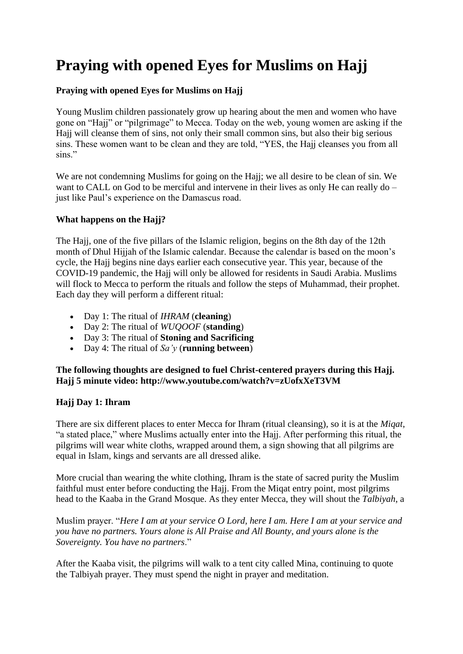# **Praying with opened Eyes for Muslims on Hajj**

## **Praying with opened Eyes for Muslims on Hajj**

Young Muslim children passionately grow up hearing about the men and women who have gone on "Hajj" or "pilgrimage" to Mecca. Today on the web, young women are asking if the Hajj will cleanse them of sins, not only their small common sins, but also their big serious sins. These women want to be clean and they are told, "YES, the Hajj cleanses you from all sins."

We are not condemning Muslims for going on the Hajj; we all desire to be clean of sin. We want to CALL on God to be merciful and intervene in their lives as only He can really do – just like Paul's experience on the Damascus road.

## **What happens on the Hajj?**

The Hajj, one of the five pillars of the Islamic religion, begins on the 8th day of the 12th month of Dhul Hijjah of the Islamic calendar. Because the calendar is based on the moon's cycle, the Hajj begins nine days earlier each consecutive year. This year, because of the COVID-19 pandemic, the Hajj will only be allowed for residents in Saudi Arabia. Muslims will flock to Mecca to perform the rituals and follow the steps of Muhammad, their prophet. Each day they will perform a different ritual:

- Day 1: The ritual of *IHRAM* (**cleaning**)
- Day 2: The ritual of *WUQOOF* (**standing**)
- Day 3: The ritual of **Stoning and Sacrificing**
- Day 4: The ritual of *Sa'y* (**running between**)

## **The following thoughts are designed to fuel Christ-centered prayers during this Hajj. Hajj 5 minute video: http://www.youtube.com/watch?v=zUofxXeT3VM**

## **Hajj Day 1: Ihram**

There are six different places to enter Mecca for Ihram (ritual cleansing), so it is at the *Miqat*, "a stated place," where Muslims actually enter into the Hajj. After performing this ritual, the pilgrims will wear white cloths, wrapped around them, a sign showing that all pilgrims are equal in Islam, kings and servants are all dressed alike.

More crucial than wearing the white clothing, Ihram is the state of sacred purity the Muslim faithful must enter before conducting the Hajj. From the Miqat entry point, most pilgrims head to the Kaaba in the Grand Mosque. As they enter Mecca, they will shout the *Talbiyah*, a

Muslim prayer. "*Here I am at your service O Lord, here I am. Here I am at your service and you have no partners. Yours alone is All Praise and All Bounty, and yours alone is the Sovereignty. You have no partners*."

After the Kaaba visit, the pilgrims will walk to a tent city called Mina, continuing to quote the Talbiyah prayer. They must spend the night in prayer and meditation.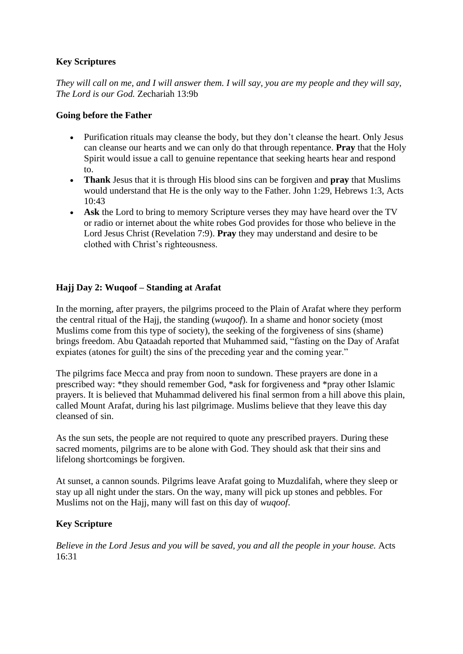# **Key Scriptures**

*They will call on me, and I will answer them. I will say, you are my people and they will say, The Lord is our God.* Zechariah 13:9b

## **Going before the Father**

- Purification rituals may cleanse the body, but they don't cleanse the heart. Only Jesus can cleanse our hearts and we can only do that through repentance. **Pray** that the Holy Spirit would issue a call to genuine repentance that seeking hearts hear and respond to.
- **Thank** Jesus that it is through His blood sins can be forgiven and **pray** that Muslims would understand that He is the only way to the Father. John 1:29, Hebrews 1:3, Acts 10:43
- **Ask** the Lord to bring to memory Scripture verses they may have heard over the TV or radio or internet about the white robes God provides for those who believe in the Lord Jesus Christ (Revelation 7:9). **Pray** they may understand and desire to be clothed with Christ's righteousness.

## **Hajj Day 2: Wuqoof – Standing at Arafat**

In the morning, after prayers, the pilgrims proceed to the Plain of Arafat where they perform the central ritual of the Hajj, the standing (*wuqoof*). In a shame and honor society (most Muslims come from this type of society), the seeking of the forgiveness of sins (shame) brings freedom. Abu Qataadah reported that Muhammed said, "fasting on the Day of Arafat expiates (atones for guilt) the sins of the preceding year and the coming year."

The pilgrims face Mecca and pray from noon to sundown. These prayers are done in a prescribed way: \*they should remember God, \*ask for forgiveness and \*pray other Islamic prayers. It is believed that Muhammad delivered his final sermon from a hill above this plain, called Mount Arafat, during his last pilgrimage. Muslims believe that they leave this day cleansed of sin.

As the sun sets, the people are not required to quote any prescribed prayers. During these sacred moments, pilgrims are to be alone with God. They should ask that their sins and lifelong shortcomings be forgiven.

At sunset, a cannon sounds. Pilgrims leave Arafat going to Muzdalifah, where they sleep or stay up all night under the stars. On the way, many will pick up stones and pebbles. For Muslims not on the Hajj, many will fast on this day of *wuqoof*.

## **Key Scripture**

*Believe in the Lord Jesus and you will be saved, you and all the people in your house.* Acts 16:31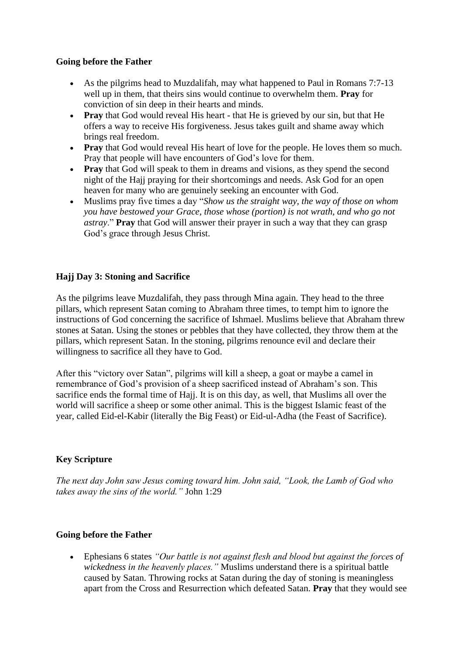#### **Going before the Father**

- As the pilgrims head to Muzdalifah, may what happened to Paul in Romans 7:7-13 well up in them, that theirs sins would continue to overwhelm them. **Pray** for conviction of sin deep in their hearts and minds.
- **Pray** that God would reveal His heart that He is grieved by our sin, but that He offers a way to receive His forgiveness. Jesus takes guilt and shame away which brings real freedom.
- **Pray** that God would reveal His heart of love for the people. He loves them so much. Pray that people will have encounters of God's love for them.
- **Pray** that God will speak to them in dreams and visions, as they spend the second night of the Hajj praying for their shortcomings and needs. Ask God for an open heaven for many who are genuinely seeking an encounter with God.
- Muslims pray five times a day "*Show us the straight way, the way of those on whom you have bestowed your Grace, those whose (portion) is not wrath, and who go not astray*." **Pray** that God will answer their prayer in such a way that they can grasp God's grace through Jesus Christ.

## **Hajj Day 3: Stoning and Sacrifice**

As the pilgrims leave Muzdalifah, they pass through Mina again. They head to the three pillars, which represent Satan coming to Abraham three times, to tempt him to ignore the instructions of God concerning the sacrifice of Ishmael. Muslims believe that Abraham threw stones at Satan. Using the stones or pebbles that they have collected, they throw them at the pillars, which represent Satan. In the stoning, pilgrims renounce evil and declare their willingness to sacrifice all they have to God.

After this "victory over Satan", pilgrims will kill a sheep, a goat or maybe a camel in remembrance of God's provision of a sheep sacrificed instead of Abraham's son. This sacrifice ends the formal time of Hajj. It is on this day, as well, that Muslims all over the world will sacrifice a sheep or some other animal. This is the biggest Islamic feast of the year, called Eid-el-Kabir (literally the Big Feast) or Eid-ul-Adha (the Feast of Sacrifice).

## **Key Scripture**

*The next day John saw Jesus coming toward him. John said, "Look, the Lamb of God who takes away the sins of the world."* John 1:29

#### **Going before the Father**

• Ephesians 6 states *"Our battle is not against flesh and blood but against the forces of wickedness in the heavenly places."* Muslims understand there is a spiritual battle caused by Satan. Throwing rocks at Satan during the day of stoning is meaningless apart from the Cross and Resurrection which defeated Satan. **Pray** that they would see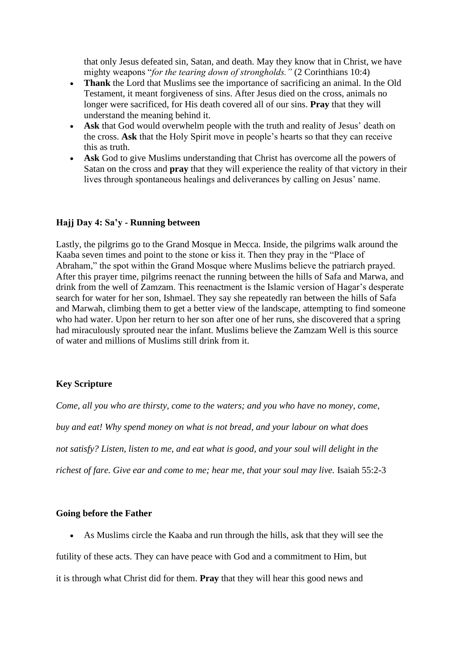that only Jesus defeated sin, Satan, and death. May they know that in Christ, we have mighty weapons "*for the tearing down of strongholds."* (2 Corinthians 10:4)

- **Thank** the Lord that Muslims see the importance of sacrificing an animal. In the Old Testament, it meant forgiveness of sins. After Jesus died on the cross, animals no longer were sacrificed, for His death covered all of our sins. **Pray** that they will understand the meaning behind it.
- **Ask** that God would overwhelm people with the truth and reality of Jesus' death on the cross. **Ask** that the Holy Spirit move in people's hearts so that they can receive this as truth.
- **Ask** God to give Muslims understanding that Christ has overcome all the powers of Satan on the cross and **pray** that they will experience the reality of that victory in their lives through spontaneous healings and deliverances by calling on Jesus' name.

#### **Hajj Day 4: Sa'y - Running between**

Lastly, the pilgrims go to the Grand Mosque in Mecca. Inside, the pilgrims walk around the Kaaba seven times and point to the stone or kiss it. Then they pray in the "Place of Abraham," the spot within the Grand Mosque where Muslims believe the patriarch prayed. After this prayer time, pilgrims reenact the running between the hills of Safa and Marwa, and drink from the well of Zamzam. This reenactment is the Islamic version of Hagar's desperate search for water for her son, Ishmael. They say she repeatedly ran between the hills of Safa and Marwah, climbing them to get a better view of the landscape, attempting to find someone who had water. Upon her return to her son after one of her runs, she discovered that a spring had miraculously sprouted near the infant. Muslims believe the Zamzam Well is this source of water and millions of Muslims still drink from it.

## **Key Scripture**

*Come, all you who are thirsty, come to the waters; and you who have no money, come, buy and eat! Why spend money on what is not bread, and your labour on what does not satisfy? Listen, listen to me, and eat what is good, and your soul will delight in the* richest of fare. Give ear and come to me; hear me, that your soul may live. Isaiah 55:2-3

## **Going before the Father**

• As Muslims circle the Kaaba and run through the hills, ask that they will see the

futility of these acts. They can have peace with God and a commitment to Him, but

it is through what Christ did for them. **Pray** that they will hear this good news and